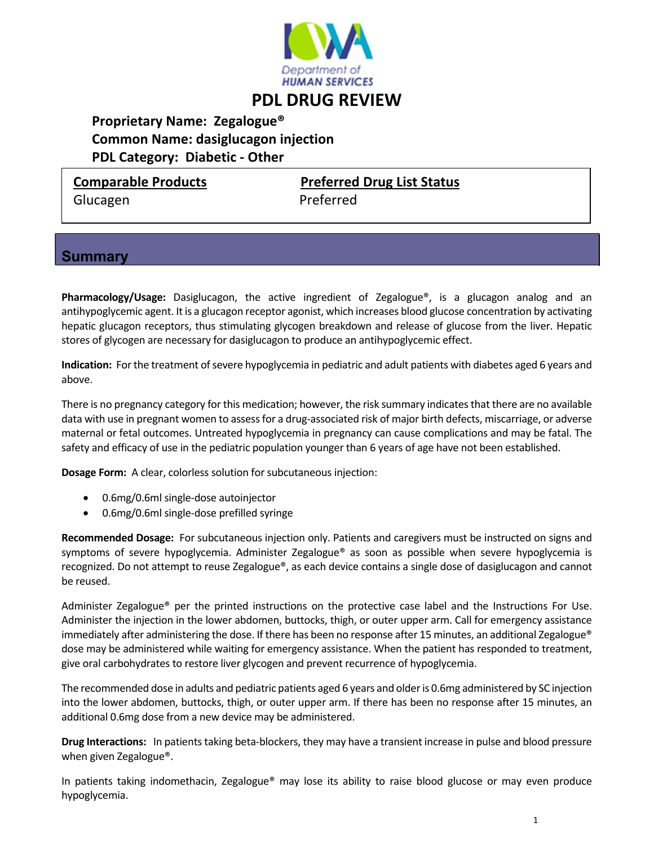

# **PDL DRUG REVIEW**

 **Proprietary Name: Zegalogue® Common Name: dasiglucagon injection PDL Category: Diabetic ‐ Other**

Glucagen Preferred

**Comparable Products Preferred Drug List Status**

### **Summary**

**Pharmacology/Usage:** Dasiglucagon, the active ingredient of Zegalogue®, is a glucagon analog and an antihypoglycemic agent. It is a glucagon receptor agonist, which increases blood glucose concentration by activating hepatic glucagon receptors, thus stimulating glycogen breakdown and release of glucose from the liver. Hepatic stores of glycogen are necessary for dasiglucagon to produce an antihypoglycemic effect.

**Indication:** For the treatment of severe hypoglycemia in pediatric and adult patients with diabetes aged 6 years and above.

There is no pregnancy category for this medication; however, the risk summary indicates that there are no available data with use in pregnant women to assessfor a drug‐associated risk of major birth defects, miscarriage, or adverse maternal or fetal outcomes. Untreated hypoglycemia in pregnancy can cause complications and may be fatal. The safety and efficacy of use in the pediatric population younger than 6 years of age have not been established.

**Dosage Form:** A clear, colorless solution for subcutaneous injection:

- 0.6mg/0.6ml single-dose autoinjector
- 0.6mg/0.6ml single-dose prefilled syringe

**Recommended Dosage:** For subcutaneous injection only. Patients and caregivers must be instructed on signs and symptoms of severe hypoglycemia. Administer Zegalogue® as soon as possible when severe hypoglycemia is recognized. Do not attempt to reuse Zegalogue®, as each device contains a single dose of dasiglucagon and cannot be reused.

Administer Zegalogue® per the printed instructions on the protective case label and the Instructions For Use. Administer the injection in the lower abdomen, buttocks, thigh, or outer upper arm. Call for emergency assistance immediately after administering the dose. If there has been no response after 15 minutes, an additional Zegalogue® dose may be administered while waiting for emergency assistance. When the patient has responded to treatment, give oral carbohydrates to restore liver glycogen and prevent recurrence of hypoglycemia.

The recommended dose in adults and pediatric patients aged 6 years and older is 0.6mg administered by SC injection into the lower abdomen, buttocks, thigh, or outer upper arm. If there has been no response after 15 minutes, an additional 0.6mg dose from a new device may be administered.

**Drug Interactions:** In patients taking beta-blockers, they may have a transient increase in pulse and blood pressure when given Zegalogue®.

In patients taking indomethacin, Zegalogue® may lose its ability to raise blood glucose or may even produce hypoglycemia.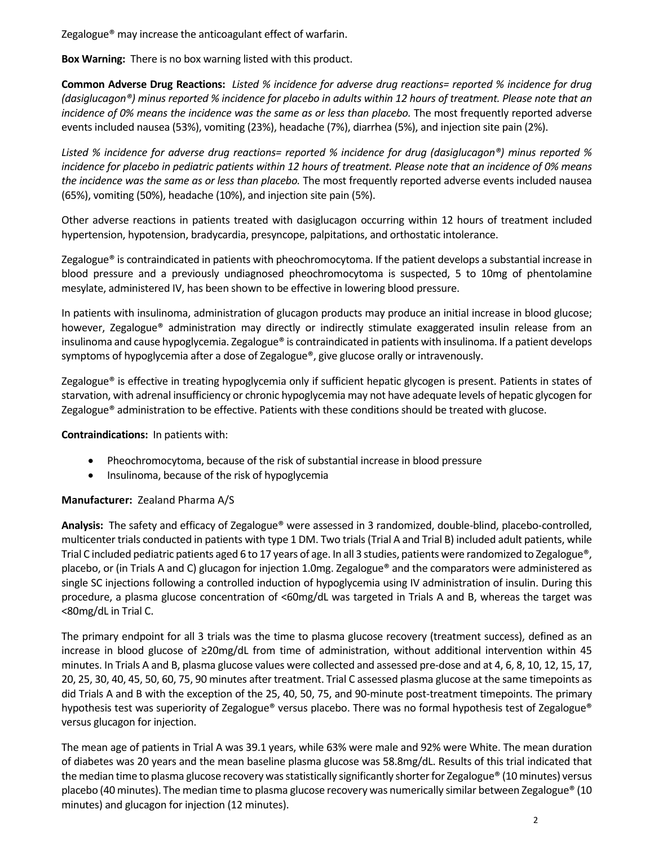Zegalogue® may increase the anticoagulant effect of warfarin.

**Box Warning:** There is no box warning listed with this product.

**Common Adverse Drug Reactions:** Listed % incidence for adverse drug reactions= reported % incidence for drug (dasiglucagon®) minus reported % incidence for placebo in adults within 12 hours of treatment. Please note that an *incidence of 0% means the incidence was the same as or less than placebo.* The most frequently reported adverse events included nausea (53%), vomiting (23%), headache (7%), diarrhea (5%), and injection site pain (2%).

*Listed % incidence for adverse drug reactions= reported % incidence for drug (dasiglucagon®) minus reported %* incidence for placebo in pediatric patients within 12 hours of treatment. Please note that an incidence of 0% means *the incidence was the same as or less than placebo.* The most frequently reported adverse events included nausea (65%), vomiting (50%), headache (10%), and injection site pain (5%).

Other adverse reactions in patients treated with dasiglucagon occurring within 12 hours of treatment included hypertension, hypotension, bradycardia, presyncope, palpitations, and orthostatic intolerance.

Zegalogue® is contraindicated in patients with pheochromocytoma. If the patient develops a substantial increase in blood pressure and a previously undiagnosed pheochromocytoma is suspected, 5 to 10mg of phentolamine mesylate, administered IV, has been shown to be effective in lowering blood pressure.

In patients with insulinoma, administration of glucagon products may produce an initial increase in blood glucose; however, Zegalogue® administration may directly or indirectly stimulate exaggerated insulin release from an insulinoma and cause hypoglycemia. Zegalogue® is contraindicated in patients with insulinoma. If a patient develops symptoms of hypoglycemia after a dose of Zegalogue®, give glucose orally or intravenously.

Zegalogue® is effective in treating hypoglycemia only if sufficient hepatic glycogen is present. Patients in states of starvation, with adrenal insufficiency or chronic hypoglycemia may not have adequate levels of hepatic glycogen for Zegalogue® administration to be effective. Patients with these conditions should be treated with glucose.

#### **Contraindications:** In patients with:

- Pheochromocytoma, because of the risk of substantial increase in blood pressure
- Insulinoma, because of the risk of hypoglycemia

#### **Manufacturer:** Zealand Pharma A/S

**Analysis:** The safety and efficacy of Zegalogue® were assessed in 3 randomized, double‐blind, placebo‐controlled, multicenter trials conducted in patients with type 1 DM. Two trials(Trial A and Trial B) included adult patients, while Trial C included pediatric patients aged 6 to 17 years of age. In all 3 studies, patients were randomized to Zegalogue®, placebo, or (in Trials A and C) glucagon for injection 1.0mg. Zegalogue® and the comparators were administered as single SC injections following a controlled induction of hypoglycemia using IV administration of insulin. During this procedure, a plasma glucose concentration of ˂60mg/dL was targeted in Trials A and B, whereas the target was ˂80mg/dL in Trial C.

The primary endpoint for all 3 trials was the time to plasma glucose recovery (treatment success), defined as an increase in blood glucose of ≥20mg/dL from time of administration, without additional intervention within 45 minutes. In Trials A and B, plasma glucose values were collected and assessed pre‐dose and at 4, 6, 8, 10, 12, 15, 17, 20, 25, 30, 40, 45, 50, 60, 75, 90 minutes after treatment. Trial C assessed plasma glucose at the same timepoints as did Trials A and B with the exception of the 25, 40, 50, 75, and 90-minute post-treatment timepoints. The primary hypothesis test was superiority of Zegalogue® versus placebo. There was no formal hypothesis test of Zegalogue® versus glucagon for injection.

The mean age of patients in Trial A was 39.1 years, while 63% were male and 92% were White. The mean duration of diabetes was 20 years and the mean baseline plasma glucose was 58.8mg/dL. Results of this trial indicated that the median time to plasma glucose recovery was statistically significantly shorter for Zegalogue® (10 minutes) versus placebo (40 minutes). The median time to plasma glucose recovery was numerically similar between Zegalogue® (10 minutes) and glucagon for injection (12 minutes).